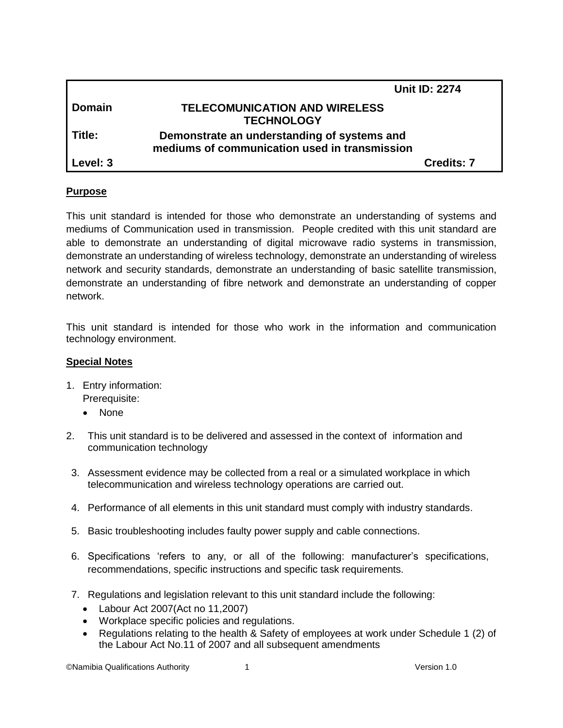|               | <b>Unit ID: 2274</b>                                                                         |
|---------------|----------------------------------------------------------------------------------------------|
| <b>Domain</b> | <b>TELECOMUNICATION AND WIRELESS</b><br><b>TECHNOLOGY</b>                                    |
| Title:        | Demonstrate an understanding of systems and<br>mediums of communication used in transmission |
| Level: 3      | <b>Credits: 7</b>                                                                            |

#### **Purpose**

This unit standard is intended for those who demonstrate an understanding of systems and mediums of Communication used in transmission. People credited with this unit standard are able to demonstrate an understanding of digital microwave radio systems in transmission, demonstrate an understanding of wireless technology, demonstrate an understanding of wireless network and security standards, demonstrate an understanding of basic satellite transmission, demonstrate an understanding of fibre network and demonstrate an understanding of copper network.

This unit standard is intended for those who work in the information and communication technology environment.

#### **Special Notes**

- 1. Entry information: Prerequisite:
	- None
- 2. This unit standard is to be delivered and assessed in the context of information and communication technology
- 3. Assessment evidence may be collected from a real or a simulated workplace in which telecommunication and wireless technology operations are carried out.
- 4. Performance of all elements in this unit standard must comply with industry standards.
- 5. Basic troubleshooting includes faulty power supply and cable connections.
- 6. Specifications 'refers to any, or all of the following: manufacturer's specifications, recommendations, specific instructions and specific task requirements.
- 7. Regulations and legislation relevant to this unit standard include the following:
	- Labour Act 2007(Act no 11,2007)
	- Workplace specific policies and regulations.
	- Regulations relating to the health & Safety of employees at work under Schedule 1 (2) of the Labour Act No.11 of 2007 and all subsequent amendments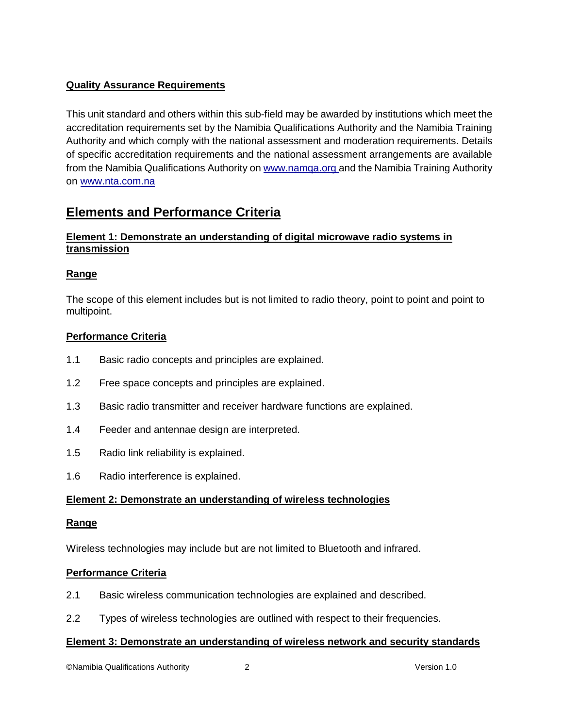## **Quality Assurance Requirements**

This unit standard and others within this sub-field may be awarded by institutions which meet the accreditation requirements set by the Namibia Qualifications Authority and the Namibia Training Authority and which comply with the national assessment and moderation requirements. Details of specific accreditation requirements and the national assessment arrangements are available from the Namibia Qualifications Authority o[n www.namqa.org a](http://www.namqa.org/)nd the Namibia Training Authority on [www.nta.com.na](http://www.nta.com.na/)

# **Elements and Performance Criteria**

## **Element 1: Demonstrate an understanding of digital microwave radio systems in transmission**

## **Range**

The scope of this element includes but is not limited to radio theory, point to point and point to multipoint.

### **Performance Criteria**

- 1.1 Basic radio concepts and principles are explained.
- 1.2 Free space concepts and principles are explained.
- 1.3 Basic radio transmitter and receiver hardware functions are explained.
- 1.4 Feeder and antennae design are interpreted.
- 1.5 Radio link reliability is explained.
- 1.6 Radio interference is explained.

## **Element 2: Demonstrate an understanding of wireless technologies**

#### **Range**

Wireless technologies may include but are not limited to Bluetooth and infrared.

#### **Performance Criteria**

- 2.1 Basic wireless communication technologies are explained and described.
- 2.2 Types of wireless technologies are outlined with respect to their frequencies.

#### **Element 3: Demonstrate an understanding of wireless network and security standards**